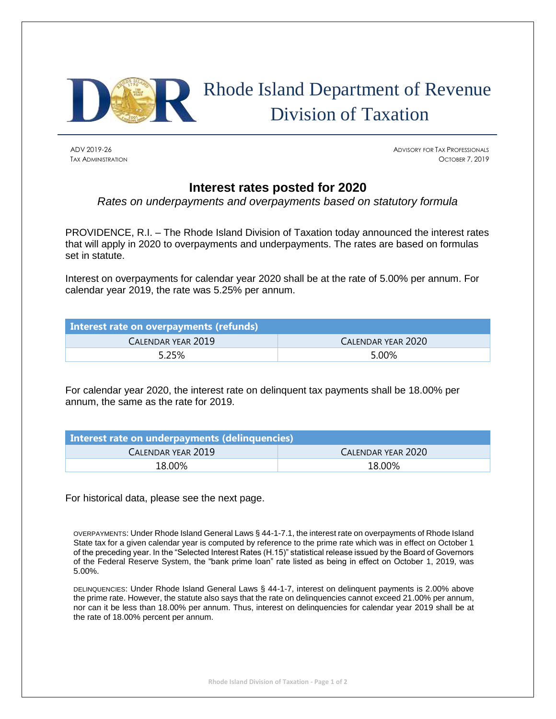

## Rhode Island Department of Revenue Division of Taxation

ADV 2019-26 ADVISORY FOR TAX PROFESSIONALS TAX ADMINISTRATION OCTOBER 7, 2019

## **Interest rates posted for 2020**

*Rates on underpayments and overpayments based on statutory formula*

PROVIDENCE, R.I. – The Rhode Island Division of Taxation today announced the interest rates that will apply in 2020 to overpayments and underpayments. The rates are based on formulas set in statute.

Interest on overpayments for calendar year 2020 shall be at the rate of 5.00% per annum. For calendar year 2019, the rate was 5.25% per annum.

| <b>Interest rate on overpayments (refunds)</b> |                    |
|------------------------------------------------|--------------------|
| CALENDAR YEAR 2019                             | CALENDAR YEAR 2020 |
| 5.25%                                          | 5.00%              |

For calendar year 2020, the interest rate on delinquent tax payments shall be 18.00% per annum, the same as the rate for 2019.

| Interest rate on underpayments (delinquencies) |                    |  |
|------------------------------------------------|--------------------|--|
| CALENDAR YEAR 2019                             | CALENDAR YEAR 2020 |  |
| 18.00%                                         | 18.00%             |  |

For historical data, please see the next page.

OVERPAYMENTS: Under Rhode Island General Laws § 44-1-7.1, the interest rate on overpayments of Rhode Island State tax for a given calendar year is computed by reference to the prime rate which was in effect on October 1 of the preceding year. In the "Selected Interest Rates (H.15)" statistical release issued by the Board of Governors of the Federal Reserve System, the "bank prime loan" rate listed as being in effect on October 1, 2019, was 5.00%.

DELINQUENCIES: Under Rhode Island General Laws § 44-1-7, interest on delinquent payments is 2.00% above the prime rate. However, the statute also says that the rate on delinquencies cannot exceed 21.00% per annum, nor can it be less than 18.00% per annum. Thus, interest on delinquencies for calendar year 2019 shall be at the rate of 18.00% percent per annum.